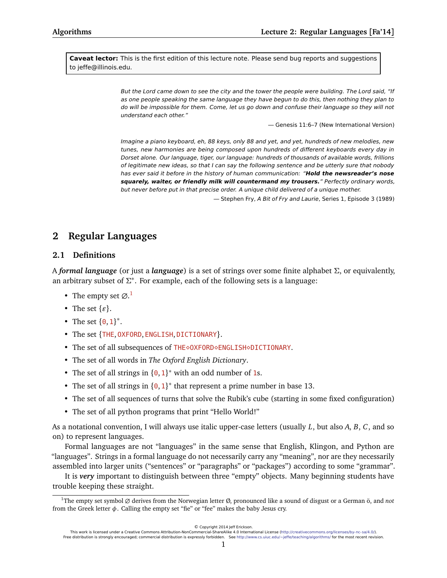**Caveat lector:** This is the first edition of this lecture note. Please send bug reports and suggestions to jeffe@illinois.edu.

> But the Lord came down to see the city and the tower the people were building. The Lord said, "If as one people speaking the same language they have begun to do this, then nothing they plan to do will be impossible for them. Come, let us go down and confuse their language so they will not understand each other."

> > — Genesis 11:6–7 (New International Version)

Imagine a piano keyboard, eh, 88 keys, only 88 and yet, and yet, hundreds of new melodies, new tunes, new harmonies are being composed upon hundreds of different keyboards every day in Dorset alone. Our language, tiger, our language: hundreds of thousands of available words, frillions of legitimate new ideas, so that I can say the following sentence and be utterly sure that nobody has ever said it before in the history of human communication: "**Hold the newsreader's nose squarely, waiter, or friendly milk will countermand my trousers.**" Perfectly ordinary words, but never before put in that precise order. A unique child delivered of a unique mother.

— Stephen Fry, A Bit of Fry and Laurie, Series 1, Episode 3 (1989)

# **2 Regular Languages**

## **2.1 Definitions**

A *formal language* (or just a *language*) is a set of strings over some finite alphabet *Σ*, or equivalently, an arbitrary subset of *Σ* ∗ . For example, each of the following sets is a language:

- The empty set  $\varnothing$ .<sup>[1](#page-0-0)</sup>
- The set  $\{\varepsilon\}$ .
- The set  ${0, 1}^*$ .
- The set {THE, OXFORD, ENGLISH, DICTIONARY}.
- The set of all subsequences of THE OXFORD ENGLISH OICTIONARY.
- The set of all words in *The Oxford English Dictionary*.
- The set of all strings in  $\{0, 1\}^*$  with an odd number of 1s.
- The set of all strings in  ${0, 1}^*$  that represent a prime number in base 13.
- The set of all sequences of turns that solve the Rubik's cube (starting in some fixed configuration)
- The set of all python programs that print "Hello World!"

As a notational convention, I will always use italic upper-case letters (usually *L*, but also *A*, *B*, *C*, and so on) to represent languages.

Formal languages are not "languages" in the same sense that English, Klingon, and Python are "languages". Strings in a formal language do not necessarily carry any "meaning", nor are they necessarily assembled into larger units ("sentences" or "paragraphs" or "packages") according to some "grammar".

It is *very* important to distinguish between three "empty" objects. Many beginning students have trouble keeping these straight.

© Copyright 2014 Jeff Erickson.

<span id="page-0-0"></span><sup>1</sup>The empty set symbol ∅ derives from the Norwegian letter Ø, pronounced like a sound of disgust or a German ö, and *not* from the Greek letter *φ*. Calling the empty set "fie" or "fee" makes the baby Jesus cry.

This work is licensed under a Creative Commons Attribution-NonCommercial-ShareAlike 4.0 International License [\(http://creativecommons.org/licenses/by-nc-sa/4.0/\)](http://creativecommons.org/licenses/by-nc-sa/4.0/). Free distribution is strongly encouraged; commercial distribution is expressly forbidden. See <http://www.cs.uiuc.edu/~jeffe/teaching/algorithms/> for the most recent revision.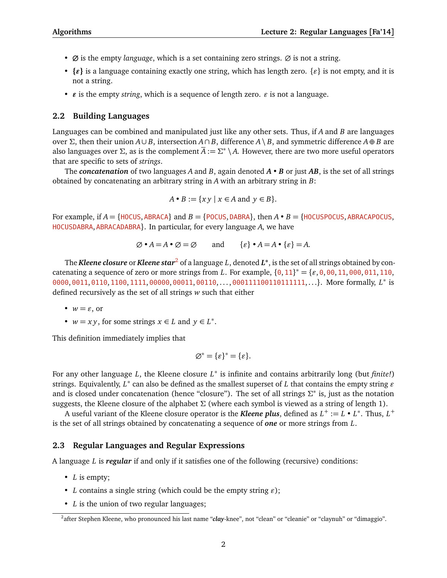- **∅** is the empty *language*, which is a set containing zero strings. ∅ is not a string.
- $\{e\}$  is a language containing exactly one string, which has length zero.  $\{e\}$  is not empty, and it is not a string.
- $\epsilon$  is the empty *string*, which is a sequence of length zero.  $\epsilon$  is not a language.

### **2.2 Building Languages**

Languages can be combined and manipulated just like any other sets. Thus, if *A* and *B* are languages over *Σ*, then their union *A*∪ *B*, intersection *A*∩ *B*, difference *A*\ *B*, and symmetric difference *A*⊕ *B* are also languages over *Σ*, as is the complement *A* := *Σ* ∗ \ *A*. However, there are two more useful operators that are specific to sets of *strings*.

The *concatenation* of two languages *A* and *B*, again denoted *A* • *B* or just *AB*, is the set of all strings obtained by concatenating an arbitrary string in *A* with an arbitrary string in *B*:

$$
A \bullet B := \{ xy \mid x \in A \text{ and } y \in B \}.
$$

For example, if  $A = \{HOCUS, ABRACA\}$  and  $B = \{POCUS, DABRA\}$ , then  $A \cdot B = \{HOCUSPOCUS, ABRACAPOCUS,$ HOCUSDABRA, ABRACADABRA}. In particular, for every language *A*, we have

$$
\varnothing \bullet A = A \bullet \varnothing = \varnothing \quad \text{and} \quad \{\varepsilon\} \bullet A = A \bullet \{\varepsilon\} = A.
$$

The *Kleene closure* or *Kleene star*[2](#page-1-0) of a language *L*, denoted *L* **∗** , is the set of all strings obtained by concatenating a sequence of zero or more strings from *L*. For example,  $\{0, 11\}^* = \{\varepsilon, 0, 00, 11, 000, 011, 110,$ 0000, 0011, 0110, 1100, 1111, 00000, 00011, 00110, . . . , 000111100110111111, . . .}. More formally, *L* ∗ is defined recursively as the set of all strings *w* such that either

- $w = \varepsilon$ , or
- $w = xy$ , for some strings  $x \in L$  and  $y \in L^*$ .

This definition immediately implies that

$$
\varnothing^* = \{\varepsilon\}^* = \{\varepsilon\}.
$$

For any other language *L*, the Kleene closure *L*<sup>\*</sup> is infinite and contains arbitrarily long (but *finite!*) strings. Equivalently,  $L^*$  can also be defined as the smallest superset of  $L$  that contains the empty string  $\varepsilon$ and is closed under concatenation (hence "closure"). The set of all strings Σ<sup>\*</sup> is, just as the notation suggests, the Kleene closure of the alphabet *Σ* (where each symbol is viewed as a string of length 1).

A useful variant of the Kleene closure operator is the *Kleene plus*, defined as  $L^+ := L \cdot L^*$ . Thus,  $L^+$ is the set of all strings obtained by concatenating a sequence of *one* or more strings from *L*.

### **2.3 Regular Languages and Regular Expressions**

A language *L* is *regular* if and only if it satisfies one of the following (recursive) conditions:

- *L* is empty;
- *L* contains a single string (which could be the empty string  $\varepsilon$ );
- *L* is the union of two regular languages;

<span id="page-1-0"></span><sup>&</sup>lt;sup>2</sup>after Stephen Kleene, who pronounced his last name "*clay*-knee", not "clean" or "cleanie" or "claynuh" or "dimaggio".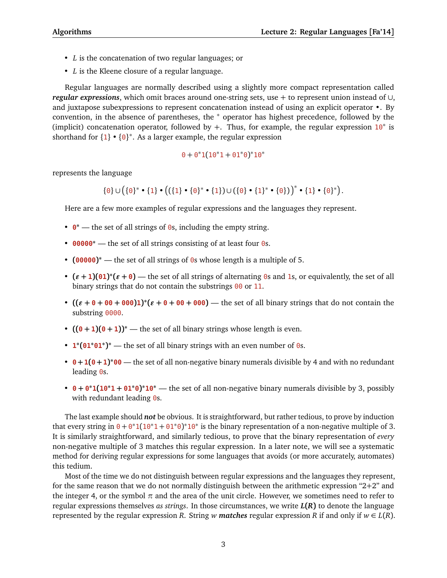- *L* is the concatenation of two regular languages; or
- *L* is the Kleene closure of a regular language.

Regular languages are normally described using a slightly more compact representation called *regular expressions*, which omit braces around one-string sets, use + to represent union instead of ∪, and juxtapose subexpressions to represent concatenation instead of using an explicit operator •. By convention, in the absence of parentheses, the <sup>∗</sup> operator has highest precedence, followed by the (implicit) concatenation operator, followed by +. Thus, for example, the regular expression  $10^*$  is shorthand for  $\{1\}$  •  $\{0\}^*$ . As a larger example, the regular expression

# $0 + 0^*1(10^*1 + 01^*0)^*10^*$

represents the language

 ${0} \cup ({0}^* \cdot {1} \cdot {((1} \cdot {0}^* \cdot {1})) \cup ({0} \cdot {1}^* \cdot {0}))^* \cdot {1} \cdot {0}^*)$ 

Here are a few more examples of regular expressions and the languages they represent.

- **0 <sup>∗</sup>** the set of all strings of <sup>0</sup>s, including the empty string.
- **<sup>00000</sup><sup>∗</sup>** the set of all strings consisting of at least four <sup>0</sup>s.
- **(00000) <sup>∗</sup>** the set of all strings of <sup>0</sup>s whose length is a multiple of 5.
- $(\varepsilon + 1)(01)^*(\varepsilon + 0)$  the set of all strings of alternating 0s and 1s, or equivalently, the set of all binary strings that do not contain the substrings  $\theta\theta$  or 11.
- $((\varepsilon + 0 + 00 + 000)1)^*(\varepsilon + 0 + 00 + 000)$  the set of all binary strings that do not contain the substring 0000.
- $((0+1)(0+1))^*$  the set of all binary strings whose length is even.
- **1 ∗ (01 <sup>∗</sup>01 ∗ ) <sup>∗</sup>** the set of all binary strings with an even number of <sup>0</sup>s.
- **0+1(0+1) <sup>∗</sup><sup>00</sup>** the set of all non-negative binary numerals divisible by 4 and with no redundant leading  $\theta$ s.
- **0 + 0 <sup>∗</sup>1(<sup>10</sup> <sup>∗</sup><sup>1</sup> <sup>+</sup> <sup>01</sup> ∗0) <sup>∗</sup>10 <sup>∗</sup>** the set of all non-negative binary numerals divisible by 3, possibly with redundant leading  $\theta$ s.

The last example should *not* be obvious. It is straightforward, but rather tedious, to prove by induction that every string in  $0 + 0^*1(10^*1 + 01^*0)^*10^*$  is the binary representation of a non-negative multiple of 3. It is similarly straightforward, and similarly tedious, to prove that the binary representation of *every* non-negative multiple of 3 matches this regular expression. In a later note, we will see a systematic method for deriving regular expressions for some languages that avoids (or more accurately, automates) this tedium.

Most of the time we do not distinguish between regular expressions and the languages they represent, for the same reason that we do not normally distinguish between the arithmetic expression "2+2" and the integer 4, or the symbol  $\pi$  and the area of the unit circle. However, we sometimes need to refer to regular expressions themselves *as strings*. In those circumstances, we write *L***(***R***)** to denote the language represented by the regular expression *R*. String *w* **matches** regular expression *R* if and only if  $w \in L(R)$ .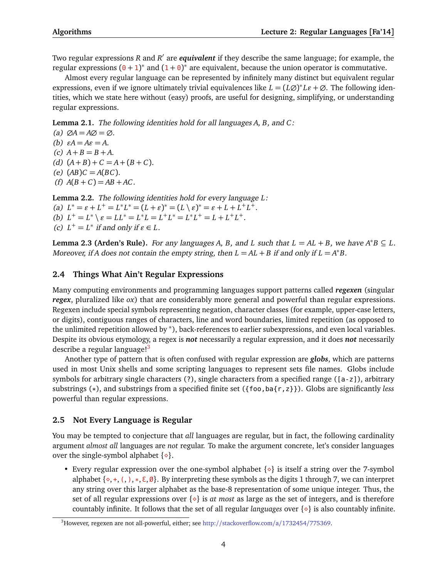Two regular expressions *R* and *R'* are *equivalent* if they describe the same language; for example, the regular expressions  $(0 + 1)^*$  and  $(1 + 0)^*$  are equivalent, because the union operator is commutative.

Almost every regular language can be represented by infinitely many distinct but equivalent regular expressions, even if we ignore ultimately trivial equivalences like  $L = (L\varnothing)^* L\varepsilon + \varnothing$ . The following identities, which we state here without (easy) proofs, are useful for designing, simplifying, or understanding regular expressions.

**Lemma 2.1.** The following identities hold for all languages *A*, *B*, and *C*:

 $(a)$   $\varnothing A = A\varnothing = \varnothing$ . (b)  $\varepsilon A = A\varepsilon = A$ . (c)  $A + B = B + A$ . (d)  $(A + B) + C = A + (B + C)$ . (e)  $(AB)C = A(BC)$ . (f)  $A(B+C) = AB + AC$ .

**Lemma 2.2.** The following identities hold for every language *L*: (a)  $L^* = \varepsilon + L^+ = L^*L^* = (L + \varepsilon)^* = (L \setminus \varepsilon)^* = \varepsilon + L + L^+L^+.$ (b)  $L^+ = L^* \setminus \varepsilon = LL^* = L^*L = L^+L^* = L^*L^+ = L + L^+L^+.$ (c)  $L^+ = L^*$  if and only if  $\varepsilon \in L$ .

**Lemma 2.3 (Arden's Rule).** For any languages *A*, *B*, and *L* such that  $L = AL + B$ , we have  $A^*B \subseteq L$ . Moreover, if *A* does not contain the empty string, then  $L = AL + B$  if and only if  $L = A^*B$ .

## **2.4 Things What Ain't Regular Expressions**

Many computing environments and programming languages support patterns called *regexen* (singular *regex*, pluralized like *ox*) that are considerably more general and powerful than regular expressions. Regexen include special symbols representing negation, character classes (for example, upper-case letters, or digits), contiguous ranges of characters, line and word boundaries, limited repetition (as opposed to the unlimited repetition allowed by <sup>∗</sup> ), back-references to earlier subexpressions, and even local variables. Despite its obvious etymology, a regex is *not* necessarily a regular expression, and it does *not* necessarily describe a regular language! $3$ 

Another type of pattern that is often confused with regular expression are *globs*, which are patterns used in most Unix shells and some scripting languages to represent sets file names. Globs include symbols for arbitrary single characters (?), single characters from a specified range ([a-z]), arbitrary substrings (\*), and substrings from a specified finite set ({foo,ba{r,z}}). Globs are significantly *less* powerful than regular expressions.

### **2.5 Not Every Language is Regular**

You may be tempted to conjecture that *all* languages are regular, but in fact, the following cardinality argument *almost all* languages are *not* regular. To make the argument concrete, let's consider languages over the single-symbol alphabet  $\{\diamond\}.$ 

• Every regular expression over the one-symbol alphabet  $\{\diamond\}$  is itself a string over the 7-symbol alphabet  $\{\diamond, +, (,), *, \in \emptyset\}$ . By interpreting these symbols as the digits 1 through 7, we can interpret any string over this larger alphabet as the base-8 representation of some unique integer. Thus, the set of all regular expressions over  $\{\diamond\}$  is *at most* as large as the set of integers, and is therefore countably infinite. It follows that the set of all regular *languages* over  $\{\diamond\}$  is also countably infinite.

<span id="page-3-0"></span><sup>3</sup>However, regexen are not all-powerful, either; see http://[stackoverflow.com](http://stackoverflow.com/a/1732454/775369)/a/1732454/775369.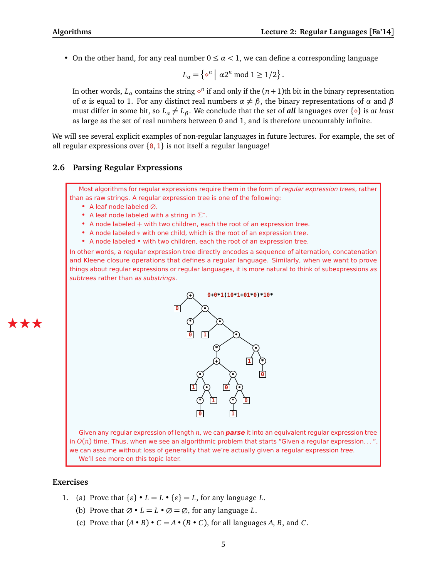• On the other hand, for any real number  $0 \leq \alpha < 1$ , we can define a corresponding language

$$
L_{\alpha} = \left\{ \diamond^{n} \mid \alpha 2^{n} \bmod 1 \ge 1/2 \right\}.
$$

In other words,  $L_\alpha$  contains the string  $\diamond^n$  if and only if the  $(n+1)$ th bit in the binary representation of  $\alpha$  is equal to 1. For any distinct real numbers  $\alpha \neq \beta$ , the binary representations of  $\alpha$  and  $\beta$ must differ in some bit, so  $L_\alpha \neq L_\beta$ . We conclude that the set of *all* languages over  $\{\diamond\}$  is *at least* as large as the set of real numbers between 0 and 1, and is therefore uncountably infinite.

We will see several explicit examples of non-regular languages in future lectures. For example, the set of all regular expressions over  $\{0, 1\}$  is not itself a regular language!

## **2.6 Parsing Regular Expressions**

Most algorithms for regular expressions require them in the form of regular expression trees, rather than as raw strings. A regular expression tree is one of the following:

- A leaf node labeled ∅.
- A leaf node labeled with a string in *Σ* ∗ .
- A node labeled + with two children, each the root of an expression tree.
- A node labeled ∗ with one child, which is the root of an expression tree.
- A node labeled with two children, each the root of an expression tree.

In other words, a regular expression tree directly encodes a sequence of alternation, concatenation and Kleene closure operations that defines a regular language. Similarly, when we want to prove things about regular expressions or regular languages, it is more natural to think of subexpressions as subtrees rather than as substrings.



Given any regular expression of length *n*, we can **parse** it into an equivalent regular expression tree in *O*(*n*) time. Thus, when we see an algorithmic problem that starts "Given a regular expression. . . ", we can assume without loss of generality that we're actually given a regular expression tree. We'll see more on this topic later.

# **Exercises**

ÆÆÆ

- 1. (a) Prove that  $\{\varepsilon\} \cdot L = L \cdot \{\varepsilon\} = L$ , for any language *L*.
	- (b) Prove that  $\emptyset \cdot L = L \cdot \emptyset = \emptyset$ , for any language *L*.
	- (c) Prove that  $(A \cdot B) \cdot C = A \cdot (B \cdot C)$ , for all languages *A*, *B*, and *C*.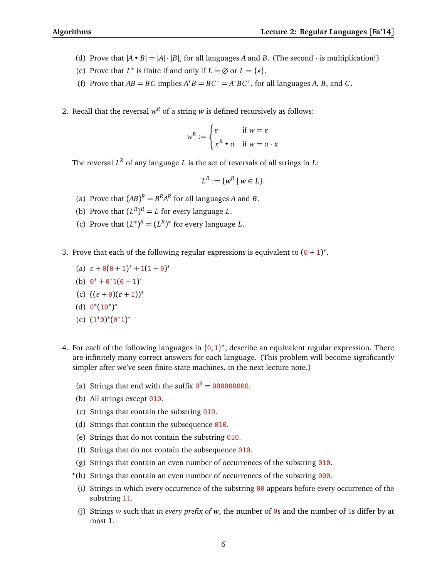- (d) Prove that  $|A \cdot B| = |A| \cdot |B|$ , for all languages *A* and *B*. (The second  $\cdot$  is multiplication!)
- (e) Prove that  $L^*$  is finite if and only if  $L = \emptyset$  or  $L = \{\varepsilon\}.$
- (f) Prove that  $AB = BC$  implies  $A^*B = BC^* = A^*BC^*$ , for all languages *A*, *B*, and *C*.
- 2. Recall that the reversal  $w^R$  of a string  $w$  is defined recursively as follows:

$$
w^R := \begin{cases} \varepsilon & \text{if } w = \varepsilon \\ x^R \bullet a & \text{if } w = a \cdot x \end{cases}
$$

The reversal *L <sup>R</sup>* of any language *L* is the set of reversals of all strings in *L*:

$$
L^R := \{w^R \mid w \in L\}.
$$

- (a) Prove that  $(AB)^R = B^R A^R$  for all languages *A* and *B*.
- (b) Prove that  $(L^R)^R = L$  for every language *L*.
- (c) Prove that  $(L^*)^R = (L^R)^*$  for every language *L*.
- 3. Prove that each of the following regular expressions is equivalent to  $(0 + 1)^*$ .
	- (a)  $\varepsilon + \Theta(\Theta + 1)^{*} + 1(1 + \Theta)^{*}$
	- (b)  $0^* + 0^*1(0+1)^*$
	- (c)  $((\varepsilon + 0)(\varepsilon + 1))^*$
	- (d)  $0^*(10^*)^*$
	- (e)  $(1^*0)^*(0^*1)^*$
- 4. For each of the following languages in  $\{0,1\}^*$ , describe an equivalent regular expression. There are infinitely many correct answers for each language. (This problem will become significantly simpler after we've seen finite-state machines, in the next lecture note.)
	- (a) Strings that end with the suffix  $0^9 = 0000000000$ .
	- (b) All strings except  $010$ .
	- (c) Strings that contain the substring 010.
	- (d) Strings that contain the subsequence 010.
	- (e) Strings that do not contain the substring  $010$ .
	- (f) Strings that do not contain the subsequence  $\theta$ 10.
	- (g) Strings that contain an even number of occurrences of the substring  $\theta$ 10.
	- *?* (h) Strings that contain an even number of occurrences of the substring 000.
	- (i) Strings in which every occurrence of the substring  $\theta\theta$  appears before every occurrence of the substring 11.
	- (j) Strings *w* such that *in every prefix of w*, the number of 0s and the number of 1s differ by at most 1.